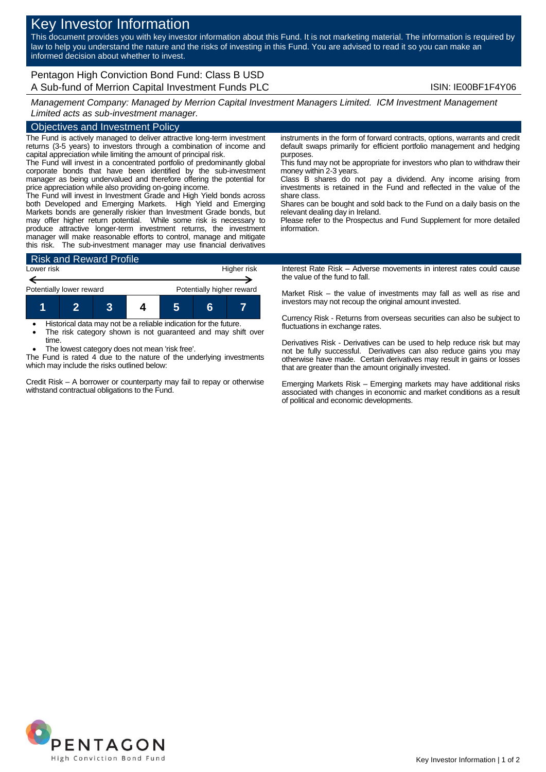# Key Investor Information

This document provides you with key investor information about this Fund. It is not marketing material. The information is required by law to help you understand the nature and the risks of investing in this Fund. You are advised to read it so you can make an informed decision about whether to invest.

Pentagon High Conviction Bond Fund: Class B USD A Sub-fund of Merrion Capital Investment Funds PLC **Internal Constructs** ISIN: IE00BF1F4Y06

*Management Company: Managed by Merrion Capital Investment Managers Limited. ICM Investment Management Limited acts as sub-investment manager.*

## Objectives and Investment Policy

The Fund is actively managed to deliver attractive long-term investment returns (3-5 years) to investors through a combination of income and capital appreciation while limiting the amount of principal risk.

The Fund will invest in a concentrated portfolio of predominantly global corporate bonds that have been identified by the sub-investment manager as being undervalued and therefore offering the potential for price appreciation while also providing on-going income.

The Fund will invest in Investment Grade and High Yield bonds across both Developed and Emerging Markets. High Yield and Emerging Markets bonds are generally riskier than Investment Grade bonds, but may offer higher return potential. While some risk is necessary to produce attractive longer-term investment returns, the investment manager will make reasonable efforts to control, manage and mitigate this risk. The sub-investment manager may use financial derivatives



 Historical data may not be a reliable indication for the future. The risk category shown is not guaranteed and may shift over

time. The lowest category does not mean 'risk free'.

The Fund is rated 4 due to the nature of the underlying investments which may include the risks outlined below:

Credit Risk – A borrower or counterparty may fail to repay or otherwise withstand contractual obligations to the Fund.

instruments in the form of forward contracts, options, warrants and credit default swaps primarily for efficient portfolio management and hedging purposes.

This fund may not be appropriate for investors who plan to withdraw their money within 2-3 years.

Class B shares do not pay a dividend. Any income arising from investments is retained in the Fund and reflected in the value of the share class.

Shares can be bought and sold back to the Fund on a daily basis on the relevant dealing day in Ireland.

Please refer to the Prospectus and Fund Supplement for more detailed information.

Interest Rate Risk – Adverse movements in interest rates could cause the value of the fund to fall.

Market Risk – the value of investments may fall as well as rise and investors may not recoup the original amount invested.

Currency Risk - Returns from overseas securities can also be subject to fluctuations in exchange rates.

Derivatives Risk - Derivatives can be used to help reduce risk but may not be fully successful. Derivatives can also reduce gains you may otherwise have made. Certain derivatives may result in gains or losses that are greater than the amount originally invested.

Emerging Markets Risk – Emerging markets may have additional risks associated with changes in economic and market conditions as a result of political and economic developments.